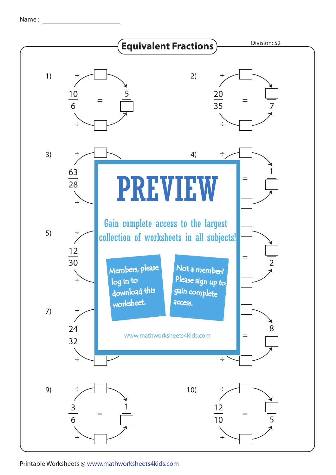